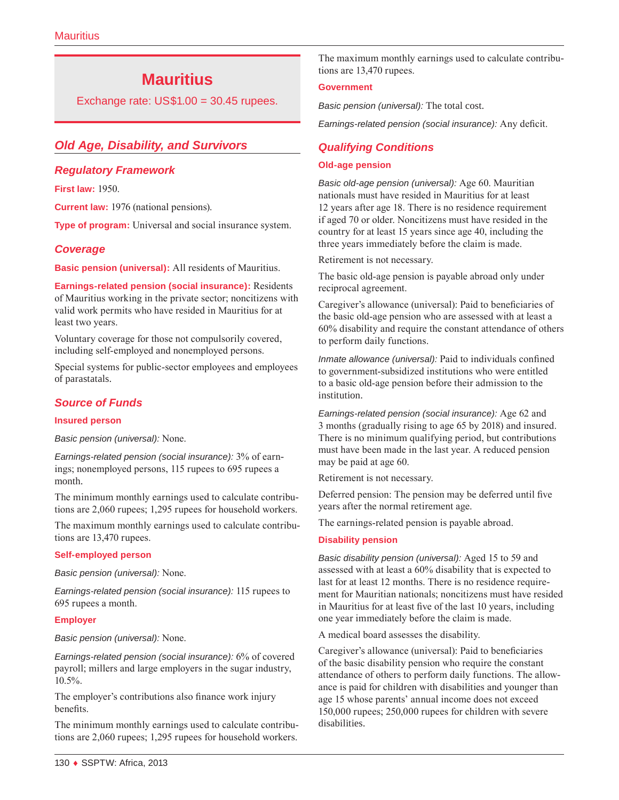# **Mauritius**

Exchange rate: US\$1.00 = 30.45 rupees.

# *Old Age, Disability, and Survivors*

## *Regulatory Framework*

**First law:** 1950.

**Current law:** 1976 (national pensions).

**Type of program:** Universal and social insurance system.

## *Coverage*

**Basic pension (universal):** All residents of Mauritius.

**Earnings-related pension (social insurance):** Residents of Mauritius working in the private sector; noncitizens with valid work permits who have resided in Mauritius for at least two years.

Voluntary coverage for those not compulsorily covered, including self-employed and nonemployed persons.

Special systems for public-sector employees and employees of parastatals.

# *Source of Funds*

#### **Insured person**

*Basic pension (universal):* None.

*Earnings-related pension (social insurance):* 3% of earnings; nonemployed persons, 115 rupees to 695 rupees a month.

The minimum monthly earnings used to calculate contributions are 2,060 rupees; 1,295 rupees for household workers.

The maximum monthly earnings used to calculate contributions are 13,470 rupees.

#### **Self-employed person**

*Basic pension (universal):* None.

*Earnings-related pension (social insurance):* 115 rupees to 695 rupees a month.

### **Employer**

*Basic pension (universal):* None.

*Earnings-related pension (social insurance):* 6% of covered payroll; millers and large employers in the sugar industry, 10.5%.

The employer's contributions also finance work injury benefits.

The minimum monthly earnings used to calculate contributions are 2,060 rupees; 1,295 rupees for household workers.

The maximum monthly earnings used to calculate contributions are 13,470 rupees.

#### **Government**

*Basic pension (universal):* The total cost.

*Earnings-related pension (social insurance):* Any deficit.

# *Qualifying Conditions*

#### **Old-age pension**

*Basic old-age pension (universal):* Age 60. Mauritian nationals must have resided in Mauritius for at least 12 years after age 18. There is no residence requirement if aged 70 or older. Noncitizens must have resided in the country for at least 15 years since age 40, including the three years immediately before the claim is made.

Retirement is not necessary.

The basic old-age pension is payable abroad only under reciprocal agreement.

Caregiver's allowance (universal): Paid to beneficiaries of the basic old-age pension who are assessed with at least a 60% disability and require the constant attendance of others to perform daily functions.

*Inmate allowance (universal):* Paid to individuals confined to government-subsidized institutions who were entitled to a basic old-age pension before their admission to the institution.

*Earnings-related pension (social insurance):* Age 62 and 3 months (gradually rising to age 65 by 2018) and insured. There is no minimum qualifying period, but contributions must have been made in the last year. A reduced pension may be paid at age 60.

Retirement is not necessary.

Deferred pension: The pension may be deferred until five years after the normal retirement age.

The earnings-related pension is payable abroad.

#### **Disability pension**

*Basic disability pension (universal):* Aged 15 to 59 and assessed with at least a 60% disability that is expected to last for at least 12 months. There is no residence requirement for Mauritian nationals; noncitizens must have resided in Mauritius for at least five of the last 10 years, including one year immediately before the claim is made.

A medical board assesses the disability.

Caregiver's allowance (universal): Paid to beneficiaries of the basic disability pension who require the constant attendance of others to perform daily functions. The allowance is paid for children with disabilities and younger than age 15 whose parents' annual income does not exceed 150,000 rupees; 250,000 rupees for children with severe disabilities.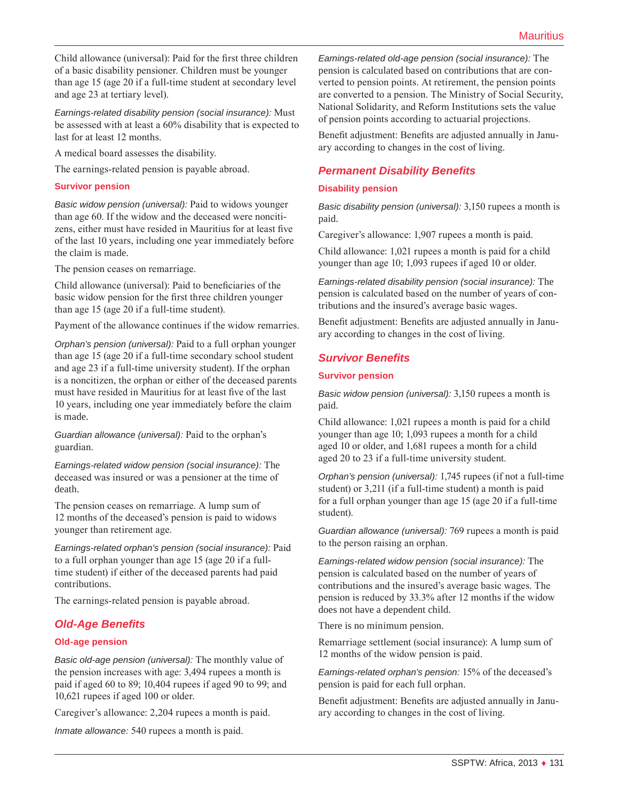Child allowance (universal): Paid for the first three children of a basic disability pensioner. Children must be younger than age 15 (age 20 if a full-time student at secondary level and age 23 at tertiary level).

*Earnings-related disability pension (social insurance):* Must be assessed with at least a 60% disability that is expected to last for at least 12 months.

A medical board assesses the disability.

The earnings-related pension is payable abroad.

### **Survivor pension**

*Basic widow pension (universal):* Paid to widows younger than age 60. If the widow and the deceased were noncitizens, either must have resided in Mauritius for at least five of the last 10 years, including one year immediately before the claim is made.

The pension ceases on remarriage.

Child allowance (universal): Paid to beneficiaries of the basic widow pension for the first three children younger than age 15 (age 20 if a full-time student).

Payment of the allowance continues if the widow remarries.

*Orphan's pension (universal):* Paid to a full orphan younger than age 15 (age 20 if a full-time secondary school student and age 23 if a full-time university student). If the orphan is a noncitizen, the orphan or either of the deceased parents must have resided in Mauritius for at least five of the last 10 years, including one year immediately before the claim is made.

*Guardian allowance (universal):* Paid to the orphan's guardian.

*Earnings-related widow pension (social insurance):* The deceased was insured or was a pensioner at the time of death.

The pension ceases on remarriage. A lump sum of 12 months of the deceased's pension is paid to widows younger than retirement age.

*Earnings-related orphan's pension (social insurance):* Paid to a full orphan younger than age 15 (age 20 if a fulltime student) if either of the deceased parents had paid contributions.

The earnings-related pension is payable abroad.

# *Old-Age Benefits*

### **Old-age pension**

*Basic old-age pension (universal):* The monthly value of the pension increases with age: 3,494 rupees a month is paid if aged 60 to 89; 10,404 rupees if aged 90 to 99; and 10,621 rupees if aged 100 or older.

Caregiver's allowance: 2,204 rupees a month is paid.

*Inmate allowance:* 540 rupees a month is paid.

*Earnings-related old-age pension (social insurance):* The pension is calculated based on contributions that are converted to pension points. At retirement, the pension points are converted to a pension. The Ministry of Social Security, National Solidarity, and Reform Institutions sets the value of pension points according to actuarial projections.

Benefit adjustment: Benefits are adjusted annually in January according to changes in the cost of living.

## *Permanent Disability Benefits*

#### **Disability pension**

*Basic disability pension (universal):* 3,150 rupees a month is paid.

Caregiver's allowance: 1,907 rupees a month is paid.

Child allowance: 1,021 rupees a month is paid for a child younger than age 10; 1,093 rupees if aged 10 or older.

*Earnings-related disability pension (social insurance):* The pension is calculated based on the number of years of contributions and the insured's average basic wages.

Benefit adjustment: Benefits are adjusted annually in January according to changes in the cost of living.

## *Survivor Benefits*

#### **Survivor pension**

*Basic widow pension (universal):* 3,150 rupees a month is paid.

Child allowance: 1,021 rupees a month is paid for a child younger than age 10; 1,093 rupees a month for a child aged 10 or older, and 1,681 rupees a month for a child aged 20 to 23 if a full-time university student.

*Orphan's pension (universal):* 1,745 rupees (if not a full-time student) or 3,211 (if a full-time student) a month is paid for a full orphan younger than age 15 (age 20 if a full-time student).

*Guardian allowance (universal):* 769 rupees a month is paid to the person raising an orphan.

*Earnings-related widow pension (social insurance):* The pension is calculated based on the number of years of contributions and the insured's average basic wages. The pension is reduced by 33.3% after 12 months if the widow does not have a dependent child.

There is no minimum pension.

Remarriage settlement (social insurance): A lump sum of 12 months of the widow pension is paid.

*Earnings-related orphan's pension:* 15% of the deceased's pension is paid for each full orphan.

Benefit adjustment: Benefits are adjusted annually in January according to changes in the cost of living.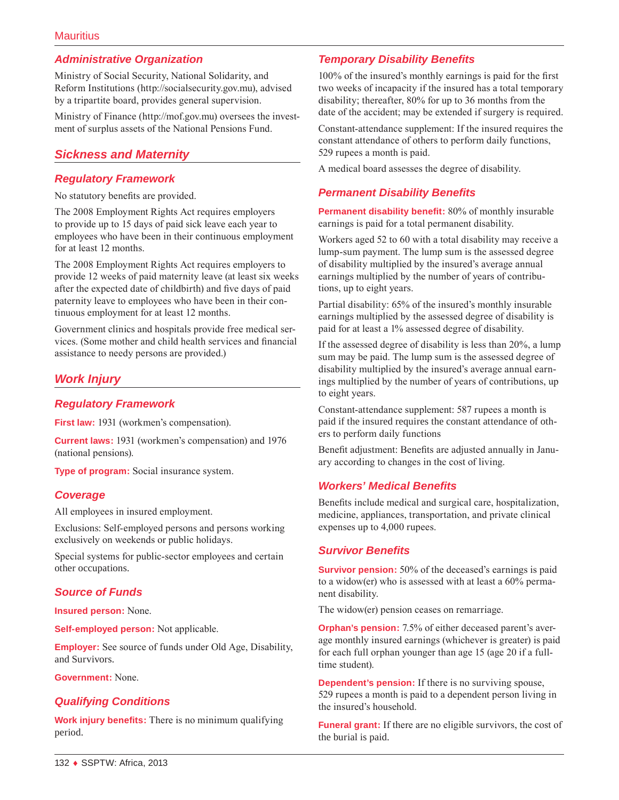# *Administrative Organization*

Ministry of Social Security, National Solidarity, and Reform Institutions [\(http://socialsecurity.gov.mu](http://socialsecurity.gov.mu)), advised by a tripartite board, provides general supervision.

Ministry of Finance ([http://mof.gov.mu\)](http://mof.gov.mu) oversees the investment of surplus assets of the National Pensions Fund.

# *Sickness and Maternity*

### *Regulatory Framework*

No statutory benefits are provided.

The 2008 Employment Rights Act requires employers to provide up to 15 days of paid sick leave each year to employees who have been in their continuous employment for at least 12 months.

The 2008 Employment Rights Act requires employers to provide 12 weeks of paid maternity leave (at least six weeks after the expected date of childbirth) and five days of paid paternity leave to employees who have been in their continuous employment for at least 12 months.

Government clinics and hospitals provide free medical services. (Some mother and child health services and financial assistance to needy persons are provided.)

# *Work Injury*

### *Regulatory Framework*

**First law:** 1931 (workmen's compensation).

**Current laws:** 1931 (workmen's compensation) and 1976 (national pensions).

**Type of program:** Social insurance system.

### *Coverage*

All employees in insured employment.

Exclusions: Self-employed persons and persons working exclusively on weekends or public holidays.

Special systems for public-sector employees and certain other occupations.

# *Source of Funds*

**Insured person:** None.

**Self-employed person:** Not applicable.

**Employer:** See source of funds under Old Age, Disability, and Survivors.

**Government:** None.

### *Qualifying Conditions*

**Work injury benefits:** There is no minimum qualifying period.

# *Temporary Disability Benefits*

100% of the insured's monthly earnings is paid for the first two weeks of incapacity if the insured has a total temporary disability; thereafter, 80% for up to 36 months from the date of the accident; may be extended if surgery is required.

Constant-attendance supplement: If the insured requires the constant attendance of others to perform daily functions, 529 rupees a month is paid.

A medical board assesses the degree of disability.

## *Permanent Disability Benefits*

**Permanent disability benefit:** 80% of monthly insurable earnings is paid for a total permanent disability.

Workers aged 52 to 60 with a total disability may receive a lump-sum payment. The lump sum is the assessed degree of disability multiplied by the insured's average annual earnings multiplied by the number of years of contributions, up to eight years.

Partial disability: 65% of the insured's monthly insurable earnings multiplied by the assessed degree of disability is paid for at least a 1% assessed degree of disability.

If the assessed degree of disability is less than 20%, a lump sum may be paid. The lump sum is the assessed degree of disability multiplied by the insured's average annual earnings multiplied by the number of years of contributions, up to eight years.

Constant-attendance supplement: 587 rupees a month is paid if the insured requires the constant attendance of others to perform daily functions

Benefit adjustment: Benefits are adjusted annually in January according to changes in the cost of living.

### *Workers' Medical Benefits*

Benefits include medical and surgical care, hospitalization, medicine, appliances, transportation, and private clinical expenses up to 4,000 rupees.

### *Survivor Benefits*

**Survivor pension:** 50% of the deceased's earnings is paid to a widow(er) who is assessed with at least a 60% permanent disability.

The widow(er) pension ceases on remarriage.

**Orphan's pension:** 7.5% of either deceased parent's average monthly insured earnings (whichever is greater) is paid for each full orphan younger than age 15 (age 20 if a fulltime student).

**Dependent's pension:** If there is no surviving spouse, 529 rupees a month is paid to a dependent person living in the insured's household.

**Funeral grant:** If there are no eligible survivors, the cost of the burial is paid.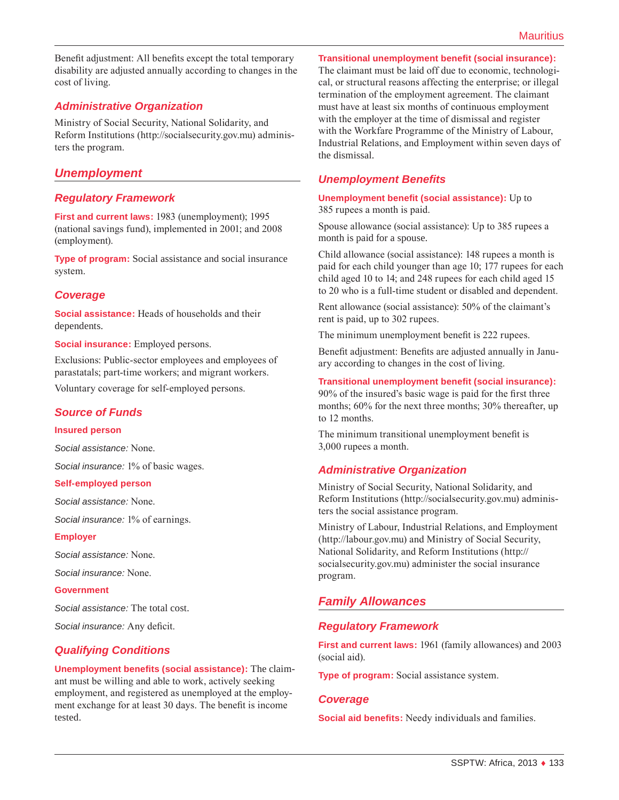Benefit adjustment: All benefits except the total temporary disability are adjusted annually according to changes in the cost of living.

# *Administrative Organization*

Ministry of Social Security, National Solidarity, and Reform Institutions [\(http://socialsecurity.gov.mu](http://socialsecurity.gov.mu)) administers the program.

# *Unemployment*

### *Regulatory Framework*

**First and current laws:** 1983 (unemployment); 1995 (national savings fund), implemented in 2001; and 2008 (employment).

**Type of program:** Social assistance and social insurance system.

### *Coverage*

**Social assistance:** Heads of households and their dependents.

**Social insurance:** Employed persons.

Exclusions: Public-sector employees and employees of parastatals; part-time workers; and migrant workers.

Voluntary coverage for self-employed persons.

### *Source of Funds*

#### **Insured person**

*Social assistance:* None.

*Social insurance:* 1% of basic wages.

#### **Self-employed person**

*Social assistance:* None.

*Social insurance:* 1% of earnings.

#### **Employer**

*Social assistance:* None.

*Social insurance:* None.

#### **Government**

*Social assistance:* The total cost.

*Social insurance:* Any deficit.

### *Qualifying Conditions*

**Unemployment benefits (social assistance):** The claimant must be willing and able to work, actively seeking employment, and registered as unemployed at the employment exchange for at least 30 days. The benefit is income tested.

#### **Transitional unemployment benefit (social insurance):**

The claimant must be laid off due to economic, technological, or structural reasons affecting the enterprise; or illegal termination of the employment agreement. The claimant must have at least six months of continuous employment with the employer at the time of dismissal and register with the Workfare Programme of the Ministry of Labour, Industrial Relations, and Employment within seven days of the dismissal.

### *Unemployment Benefits*

#### **Unemployment benefit (social assistance):** Up to 385 rupees a month is paid.

Spouse allowance (social assistance): Up to 385 rupees a month is paid for a spouse.

Child allowance (social assistance): 148 rupees a month is paid for each child younger than age 10; 177 rupees for each child aged 10 to 14; and 248 rupees for each child aged 15 to 20 who is a full-time student or disabled and dependent.

Rent allowance (social assistance): 50% of the claimant's rent is paid, up to 302 rupees.

The minimum unemployment benefit is 222 rupees.

Benefit adjustment: Benefits are adjusted annually in January according to changes in the cost of living.

### **Transitional unemployment benefit (social insurance):**

90% of the insured's basic wage is paid for the first three months; 60% for the next three months; 30% thereafter, up to 12 months.

The minimum transitional unemployment benefit is 3,000 rupees a month.

### *Administrative Organization*

Ministry of Social Security, National Solidarity, and Reform Institutions [\(http://socialsecurity.gov.mu](http://socialsecurity.gov.mu)) administers the social assistance program.

Ministry of Labour, Industrial Relations, and Employment (<http://labour.gov.mu>) and Ministry of Social Security, National Solidarity, and Reform Institutions ([http://](http://socialsecurity.gov.mu) [socialsecurity.gov.mu\)](http://socialsecurity.gov.mu) administer the social insurance program.

# *Family Allowances*

### *Regulatory Framework*

**First and current laws:** 1961 (family allowances) and 2003 (social aid).

**Type of program:** Social assistance system.

### *Coverage*

**Social aid benefits:** Needy individuals and families.